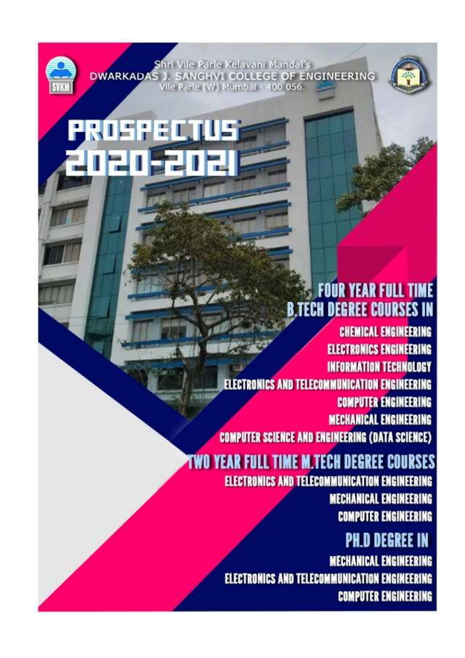/ile Parle Kelavani Mandal's **DWARKADAS 1.** SANGHVI COLLEGE OF ENGINEERING /ile Parle (W) Mumbai - 400 056.

1 I S



# **FOUR YEAR FULL TIME B.TECH DEGREE COURSES IN**

**CHEMICAL ENGINEERING ELECTRONICS ENGINEERING INFORMATION TECHNOLOGY ELECTRONICS AND TELECOMMUNICATION ENGINEERING COMPUTER ENGINEERING MECHANICAL ENGINEERING COMPUTER SCIENCE AND ENGINEERING (DATA SCIENCE)** 

# **TWO YEAR FULL TIME M.TECH DEGREE COURSES**

ELECTRONICS AND TELECOMMUNICATION ENGINEERING **MECHANICAL ENGINEERING COMPUTER ENGINEERING** 

# **PH.D DEGREE IN**

**MECHANICAL ENGINEERING ELECTRONICS AND TELECOMMUNICATION ENGINEERING COMPUTER ENGINEERING**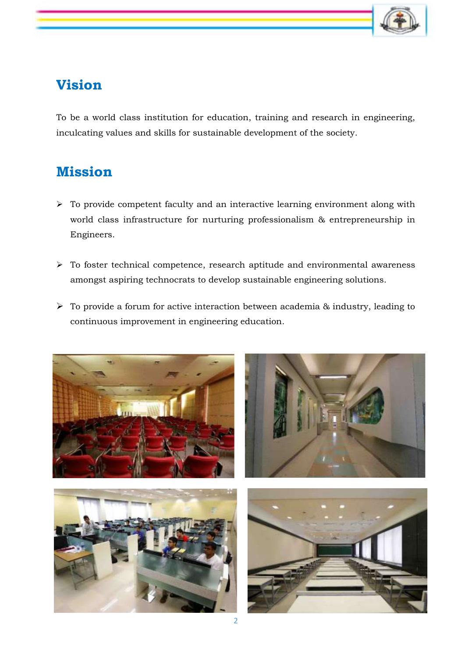

## **Vision**

To be a world class institution for education, training and research in engineering, inculcating values and skills for sustainable development of the society.

## **Mission**

- $\triangleright$  To provide competent faculty and an interactive learning environment along with world class infrastructure for nurturing professionalism & entrepreneurship in Engineers.
- $\triangleright$  To foster technical competence, research aptitude and environmental awareness amongst aspiring technocrats to develop sustainable engineering solutions.
- $\triangleright$  To provide a forum for active interaction between academia & industry, leading to continuous improvement in engineering education.

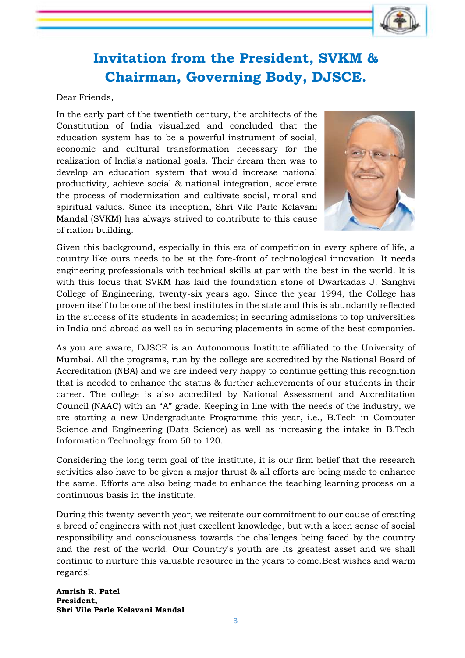

## **Invitation from the President, SVKM & Chairman, Governing Body, DJSCE.**

Dear Friends,

In the early part of the twentieth century, the architects of the Constitution of India visualized and concluded that the education system has to be a powerful instrument of social, economic and cultural transformation necessary for the realization of India's national goals. Their dream then was to develop an education system that would increase national productivity, achieve social & national integration, accelerate the process of modernization and cultivate social, moral and spiritual values. Since its inception, Shri Vile Parle Kelavani Mandal (SVKM) has always strived to contribute to this cause of nation building.



Given this background, especially in this era of competition in every sphere of life, a country like ours needs to be at the fore-front of technological innovation. It needs engineering professionals with technical skills at par with the best in the world. It is with this focus that SVKM has laid the foundation stone of Dwarkadas J. Sanghvi College of Engineering, twenty-six years ago. Since the year 1994, the College has proven itself to be one of the best institutes in the state and this is abundantly reflected in the success of its students in academics; in securing admissions to top universities in India and abroad as well as in securing placements in some of the best companies.

As you are aware, DJSCE is an Autonomous Institute affiliated to the University of Mumbai. All the programs, run by the college are accredited by the National Board of Accreditation (NBA) and we are indeed very happy to continue getting this recognition that is needed to enhance the status & further achievements of our students in their career. The college is also accredited by National Assessment and Accreditation Council (NAAC) with an "A" grade. Keeping in line with the needs of the industry, we are starting a new Undergraduate Programme this year, i.e., B.Tech in Computer Science and Engineering (Data Science) as well as increasing the intake in B.Tech Information Technology from 60 to 120.

Considering the long term goal of the institute, it is our firm belief that the research activities also have to be given a major thrust & all efforts are being made to enhance the same. Efforts are also being made to enhance the teaching learning process on a continuous basis in the institute.

During this twenty-seventh year, we reiterate our commitment to our cause of creating a breed of engineers with not just excellent knowledge, but with a keen sense of social responsibility and consciousness towards the challenges being faced by the country and the rest of the world. Our Country's youth are its greatest asset and we shall continue to nurture this valuable resource in the years to come.Best wishes and warm regards!

**Amrish R. Patel President, Shri Vile Parle Kelavani Mandal**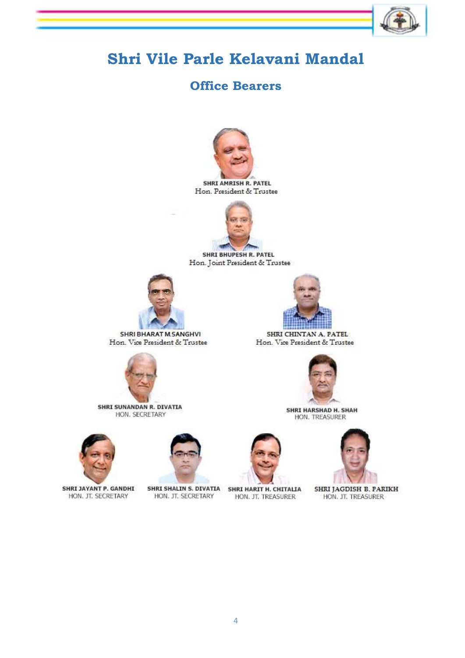## **Shri Vile Parle Kelavani Mandal**

## **Office Bearers**



SHRI AMRISH R. PATEL Hon. President & Trustee



**SHRI BHUPESH R. PATEL** Hon. Joint President & Trustee



SHRI BHARAT M. SANGHVI Hon. Vice President & Trustee

SHRI SUNANDAN R. DIVATIA

HON. SECRETARY



SHRI CHINTAN A. PATEL Hon. Vice President & Trustee



SHRI HARSHAD H. SHAH HON. TREASURER



SHRI JAYANT P. GANDHI HON. JT. SECRETARY



HON. JT. SECRETARY

SHRI SHALIN S. DIVATIA SHRI HARIT H. CHITALIA HON. JT. TREASURER



SHRI JAGDISH B. PARIKH HON. JT. TREASURER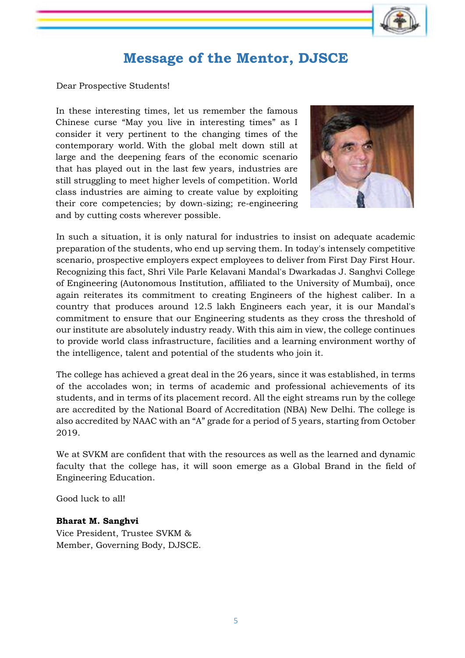

## **Message of the Mentor, DJSCE**

Dear Prospective Students!

In these interesting times, let us remember the famous Chinese curse "May you live in interesting times" as I consider it very pertinent to the changing times of the contemporary world. With the global melt down still at large and the deepening fears of the economic scenario that has played out in the last few years, industries are still struggling to meet higher levels of competition. World class industries are aiming to create value by exploiting their core competencies; by down-sizing; re-engineering and by cutting costs wherever possible.



In such a situation, it is only natural for industries to insist on adequate academic preparation of the students, who end up serving them. In today's intensely competitive scenario, prospective employers expect employees to deliver from First Day First Hour. Recognizing this fact, Shri Vile Parle Kelavani Mandal's Dwarkadas J. Sanghvi College of Engineering (Autonomous Institution, affiliated to the University of Mumbai), once again reiterates its commitment to creating Engineers of the highest caliber. In a country that produces around 12.5 lakh Engineers each year, it is our Mandal's commitment to ensure that our Engineering students as they cross the threshold of our institute are absolutely industry ready. With this aim in view, the college continues to provide world class infrastructure, facilities and a learning environment worthy of the intelligence, talent and potential of the students who join it.

The college has achieved a great deal in the 26 years, since it was established, in terms of the accolades won; in terms of academic and professional achievements of its students, and in terms of its placement record. All the eight streams run by the college are accredited by the National Board of Accreditation (NBA) New Delhi. The college is also accredited by NAAC with an "A" grade for a period of 5 years, starting from October 2019.

We at SVKM are confident that with the resources as well as the learned and dynamic faculty that the college has, it will soon emerge as a Global Brand in the field of Engineering Education.

Good luck to all!

#### **Bharat M. Sanghvi**

Vice President, Trustee SVKM & Member, Governing Body, DJSCE.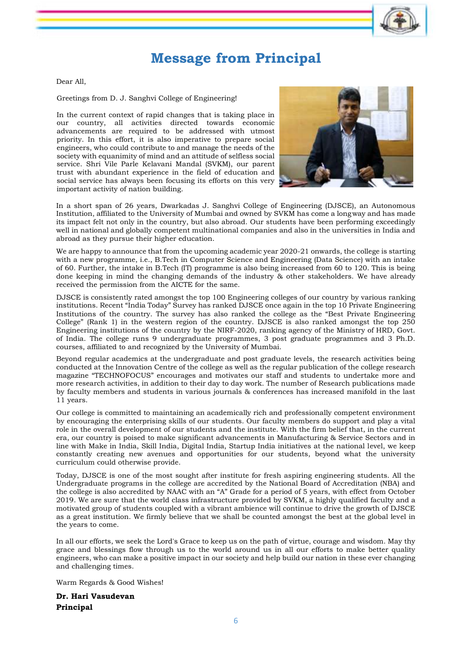## **Message from Principal**

Dear All,

Greetings from D. J. Sanghvi College of Engineering!

In the current context of rapid changes that is taking place in our country, all activities directed towards economic advancements are required to be addressed with utmost priority. In this effort, it is also imperative to prepare social engineers, who could contribute to and manage the needs of the society with equanimity of mind and an attitude of selfless social service. Shri Vile Parle Kelavani Mandal (SVKM), our parent trust with abundant experience in the field of education and social service has always been focusing its efforts on this very important activity of nation building.



In a short span of 26 years, Dwarkadas J. Sanghvi College of Engineering (DJSCE), an Autonomous Institution, affiliated to the University of Mumbai and owned by SVKM has come a longway and has made its impact felt not only in the country, but also abroad. Our students have been performing exceedingly well in national and globally competent multinational companies and also in the universities in India and abroad as they pursue their higher education.

We are happy to announce that from the upcoming academic year 2020-21 onwards, the college is starting with a new programme, i.e., B.Tech in Computer Science and Engineering (Data Science) with an intake of 60. Further, the intake in B.Tech (IT) programme is also being increased from 60 to 120. This is being done keeping in mind the changing demands of the industry & other stakeholders. We have already received the permission from the AICTE for the same.

DJSCE is consistently rated amongst the top 100 Engineering colleges of our country by various ranking institutions. Recent "India Today" Survey has ranked DJSCE once again in the top 10 Private Engineering Institutions of the country. The survey has also ranked the college as the "Best Private Engineering College" (Rank 1) in the western region of the country. DJSCE is also ranked amongst the top 250 Engineering institutions of the country by the NIRF-2020, ranking agency of the Ministry of HRD, Govt. of India. The college runs 9 undergraduate programmes, 3 post graduate programmes and 3 Ph.D. courses, affiliated to and recognized by the University of Mumbai.

Beyond regular academics at the undergraduate and post graduate levels, the research activities being conducted at the Innovation Centre of the college as well as the regular publication of the college research magazine "TECHNOFOCUS" encourages and motivates our staff and students to undertake more and more research activities, in addition to their day to day work. The number of Research publications made by faculty members and students in various journals & conferences has increased manifold in the last 11 years.

Our college is committed to maintaining an academically rich and professionally competent environment by encouraging the enterprising skills of our students. Our faculty members do support and play a vital role in the overall development of our students and the institute. With the firm belief that, in the current era, our country is poised to make significant advancements in Manufacturing & Service Sectors and in line with Make in India, Skill India, Digital India, Startup India initiatives at the national level, we keep constantly creating new avenues and opportunities for our students, beyond what the university curriculum could otherwise provide.

Today, DJSCE is one of the most sought after institute for fresh aspiring engineering students. All the Undergraduate programs in the college are accredited by the National Board of Accreditation (NBA) and the college is also accredited by NAAC with an "A" Grade for a period of 5 years, with effect from October 2019. We are sure that the world class infrastructure provided by SVKM, a highly qualified faculty and a motivated group of students coupled with a vibrant ambience will continue to drive the growth of DJSCE as a great institution. We firmly believe that we shall be counted amongst the best at the global level in the years to come.

In all our efforts, we seek the Lord's Grace to keep us on the path of virtue, courage and wisdom. May thy grace and blessings flow through us to the world around us in all our efforts to make better quality engineers, who can make a positive impact in our society and help build our nation in these ever changing and challenging times.

Warm Regards & Good Wishes!

**Dr. Hari Vasudevan Principal**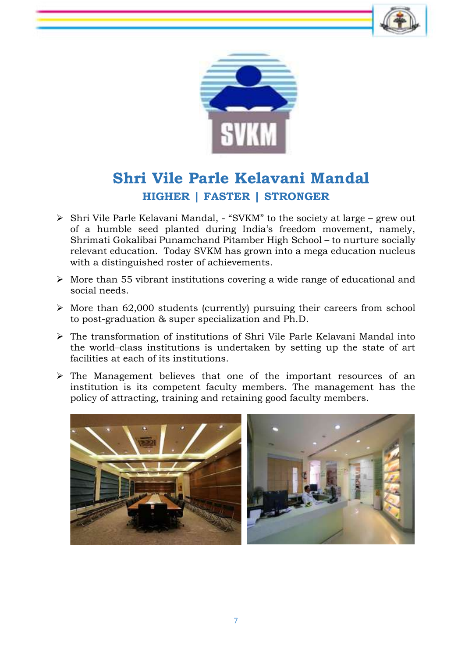



## **Shri Vile Parle Kelavani Mandal HIGHER | FASTER | STRONGER**

- Shri Vile Parle Kelavani Mandal, "SVKM" to the society at large grew out of a humble seed planted during India's freedom movement, namely, Shrimati Gokalibai Punamchand Pitamber High School – to nurture socially relevant education. Today SVKM has grown into a mega education nucleus with a distinguished roster of achievements.
- $\triangleright$  More than 55 vibrant institutions covering a wide range of educational and social needs.
- $\triangleright$  More than 62,000 students (currently) pursuing their careers from school to post-graduation & super specialization and Ph.D.
- The transformation of institutions of Shri Vile Parle Kelavani Mandal into the world–class institutions is undertaken by setting up the state of art facilities at each of its institutions.
- $\triangleright$  The Management believes that one of the important resources of an institution is its competent faculty members. The management has the policy of attracting, training and retaining good faculty members.

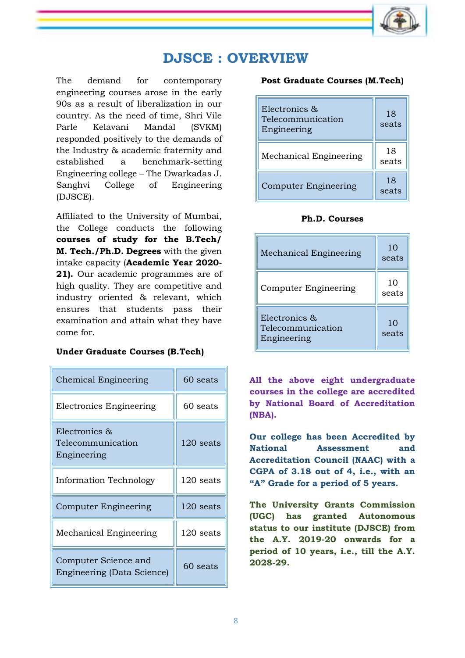

## **DJSCE : OVERVIEW**

The demand for contemporary engineering courses arose in the early 90s as a result of liberalization in our country. As the need of time, Shri Vile Parle Kelavani Mandal (SVKM) responded positively to the demands of the Industry & academic fraternity and established a benchmark-setting Engineering college – The Dwarkadas J. Sanghvi College of Engineering (DJSCE).

Affiliated to the University of Mumbai, the College conducts the following **courses of study for the B.Tech/ M. Tech./Ph.D. Degrees** with the given intake capacity (**Academic Year 2020- 21).** Our academic programmes are of high quality. They are competitive and industry oriented & relevant, which ensures that students pass their examination and attain what they have come for.

#### **Under Graduate Courses (B.Tech)**

| Chemical Engineering                               | 60 seats    |  |
|----------------------------------------------------|-------------|--|
| Electronics Engineering                            | 60 seats    |  |
| Electronics &<br>Telecommunication<br>Engineering  | 120 seats   |  |
| <b>Information Technology</b>                      | 120 seats   |  |
| Computer Engineering                               | $120$ seats |  |
| Mechanical Engineering                             | 120 seats   |  |
| Computer Science and<br>Engineering (Data Science) | 60 seats    |  |

#### **Post Graduate Courses (M.Tech)**

| Electronics &<br>Telecommunication<br>Engineering | 18<br>seats |
|---------------------------------------------------|-------------|
| Mechanical Engineering                            | 18<br>seats |
| <b>Computer Engineering</b>                       | 18<br>seats |

#### **Ph.D. Courses**

| Mechanical Engineering                            | 10<br>seats |
|---------------------------------------------------|-------------|
| Computer Engineering                              | 10<br>seats |
| Electronics &<br>Telecommunication<br>Engineering | 10<br>seats |

**All the above eight undergraduate courses in the college are accredited by National Board of Accreditation (NBA).**

**Our college has been Accredited by National Assessment and Accreditation Council (NAAC) with a CGPA of 3.18 out of 4, i.e., with an "A" Grade for a period of 5 years.**

**The University Grants Commission (UGC) has granted Autonomous status to our institute (DJSCE) from the A.Y. 2019-20 onwards for a period of 10 years, i.e., till the A.Y. 2028-29.**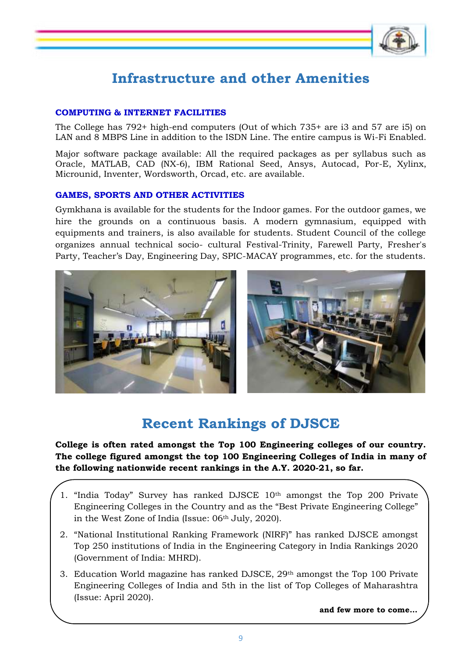## **Infrastructure and other Amenities**

#### **COMPUTING & INTERNET FACILITIES**

The College has 792+ high-end computers (Out of which 735+ are i3 and 57 are i5) on LAN and 8 MBPS Line in addition to the ISDN Line. The entire campus is Wi-Fi Enabled.

Major software package available: All the required packages as per syllabus such as Oracle, MATLAB, CAD (NX-6), IBM Rational Seed, Ansys, Autocad, Por-E, Xylinx, Microunid, Inventer, Wordsworth, Orcad, etc. are available.

#### **GAMES, SPORTS AND OTHER ACTIVITIES**

Gymkhana is available for the students for the Indoor games. For the outdoor games, we hire the grounds on a continuous basis. A modern gymnasium, equipped with equipments and trainers, is also available for students. Student Council of the college organizes annual technical socio- cultural Festival-Trinity, Farewell Party, Fresher's Party, Teacher's Day, Engineering Day, SPIC-MACAY programmes, etc. for the students.



## **Recent Rankings of DJSCE**

**College is often rated amongst the Top 100 Engineering colleges of our country. The college figured amongst the top 100 Engineering Colleges of India in many of the following nationwide recent rankings in the A.Y. 2020-21, so far.**

- 1. "India Today" Survey has ranked DJSCE 10th amongst the Top 200 Private Engineering Colleges in the Country and as the "Best Private Engineering College" in the West Zone of India (Issue: 06<sup>th</sup> July, 2020).
- 2. "National Institutional Ranking Framework (NIRF)" has ranked DJSCE amongst Top 250 institutions of India in the Engineering Category in India Rankings 2020 (Government of India: MHRD).
- 3. Education World magazine has ranked DJSCE,  $29<sup>th</sup>$  amongst the Top 100 Private Engineering Colleges of India and 5th in the list of Top Colleges of Maharashtra (Issue: April 2020).

**and few more to come…**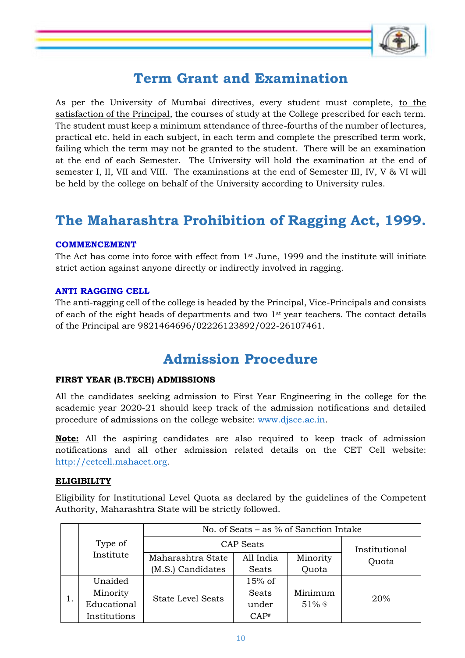

## **Term Grant and Examination**

As per the University of Mumbai directives, every student must complete, to the satisfaction of the Principal, the courses of study at the College prescribed for each term. The student must keep a minimum attendance of three-fourths of the number of lectures, practical etc. held in each subject, in each term and complete the prescribed term work, failing which the term may not be granted to the student. There will be an examination at the end of each Semester. The University will hold the examination at the end of semester I, II, VII and VIII. The examinations at the end of Semester III, IV, V & VI will be held by the college on behalf of the University according to University rules.

## **The Maharashtra Prohibition of Ragging Act, 1999.**

#### **COMMENCEMENT**

The Act has come into force with effect from 1st June, 1999 and the institute will initiate strict action against anyone directly or indirectly involved in ragging.

#### **ANTI RAGGING CELL**

The anti-ragging cell of the college is headed by the Principal, Vice-Principals and consists of each of the eight heads of departments and two  $1<sup>st</sup>$  year teachers. The contact details of the Principal are 9821464696/02226123892/022-26107461.

## **Admission Procedure**

#### **FIRST YEAR (B.TECH) ADMISSIONS**

All the candidates seeking admission to First Year Engineering in the college for the academic year 2020-21 should keep track of the admission notifications and detailed procedure of admissions on the college website: [www.djsce.ac.in.](http://www.djsce.ac.in/)

**Note:** All the aspiring candidates are also required to keep track of admission notifications and all other admission related details on the CET Cell website: [http://cetcell.mahacet.org.](http://cetcell.mahacet.org/)

#### **ELIGIBILITY**

Eligibility for Institutional Level Quota as declared by the guidelines of the Competent Authority, Maharashtra State will be strictly followed.

|    |              |                          |              | No. of Seats $-$ as % of Sanction Intake |       |
|----|--------------|--------------------------|--------------|------------------------------------------|-------|
|    | Type of      | <b>CAP</b> Seats         |              | Institutional                            |       |
|    | Institute    | Maharashtra State        | All India    | Minority                                 | Quota |
|    |              | (M.S.) Candidates        | Seats        | Quota                                    |       |
| 1. | Unaided      | $15%$ of                 |              |                                          |       |
|    | Minority     | <b>State Level Seats</b> | <b>Seats</b> | Minimum                                  | 20%   |
|    | Educational  |                          | under        | $51\%$ @                                 |       |
|    | Institutions |                          | CAP#         |                                          |       |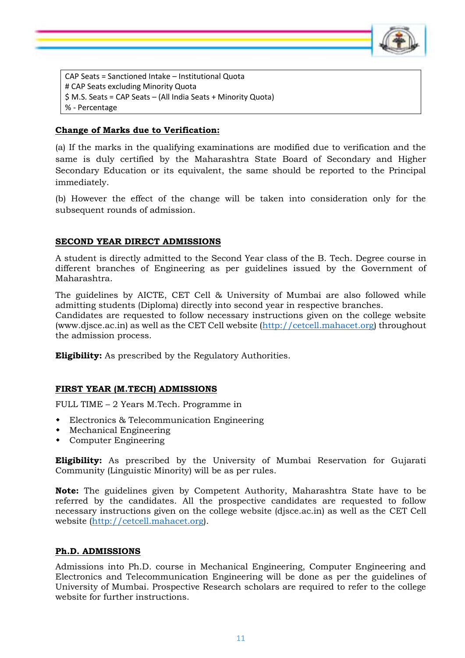

CAP Seats = Sanctioned Intake – Institutional Quota # CAP Seats excluding Minority Quota \$ M.S. Seats = CAP Seats – (All India Seats + Minority Quota) % - Percentage

#### **Change of Marks due to Verification:**

(a) If the marks in the qualifying examinations are modified due to verification and the same is duly certified by the Maharashtra State Board of Secondary and Higher Secondary Education or its equivalent, the same should be reported to the Principal immediately.

(b) However the effect of the change will be taken into consideration only for the subsequent rounds of admission.

#### **SECOND YEAR DIRECT ADMISSIONS**

A student is directly admitted to the Second Year class of the B. Tech. Degree course in different branches of Engineering as per guidelines issued by the Government of Maharashtra.

The guidelines by AICTE, CET Cell & University of Mumbai are also followed while admitting students (Diploma) directly into second year in respective branches. Candidates are requested to follow necessary instructions given on the college website (www.djsce.ac.in) as well as the CET Cell website [\(http://cetcell.mahacet.org\)](http://cetcell.mahacet.org/) throughout the admission process.

**Eligibility:** As prescribed by the Regulatory Authorities.

#### **FIRST YEAR (M.TECH) ADMISSIONS**

FULL TIME – 2 Years M.Tech. Programme in

- Electronics & Telecommunication Engineering
- Mechanical Engineering
- Computer Engineering

**Eligibility:** As prescribed by the University of Mumbai Reservation for Gujarati Community (Linguistic Minority) will be as per rules.

**Note:** The guidelines given by Competent Authority, Maharashtra State have to be referred by the candidates. All the prospective candidates are requested to follow necessary instructions given on the college website (djsce.ac.in) as well as the CET Cell website [\(http://cetcell.mahacet.org\)](http://cetcell.mahacet.org/).

#### **Ph.D. ADMISSIONS**

Admissions into Ph.D. course in Mechanical Engineering, Computer Engineering and Electronics and Telecommunication Engineering will be done as per the guidelines of University of Mumbai. Prospective Research scholars are required to refer to the college website for further instructions.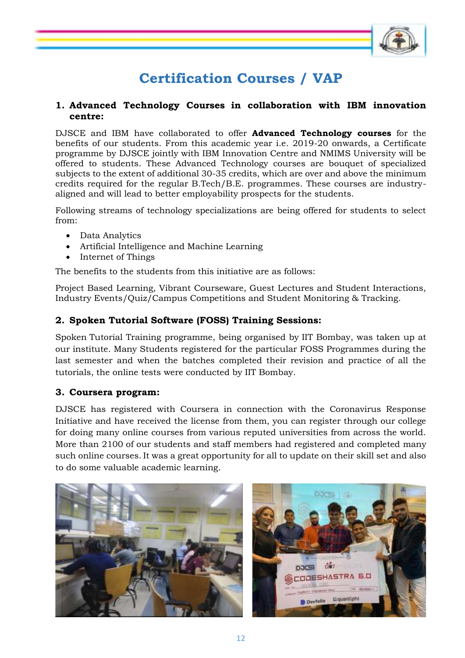

## **Certification Courses / VAP**

#### **1. Advanced Technology Courses in collaboration with IBM innovation centre:**

DJSCE and IBM have collaborated to offer **Advanced Technology courses** for the benefits of our students. From this academic year i.e. 2019-20 onwards, a Certificate programme by DJSCE jointly with IBM Innovation Centre and NMIMS University will be offered to students. These Advanced Technology courses are bouquet of specialized subjects to the extent of additional 30-35 credits, which are over and above the minimum credits required for the regular B.Tech/B.E. programmes. These courses are industryaligned and will lead to better employability prospects for the students.

Following streams of technology specializations are being offered for students to select from:

- Data Analytics
- Artificial Intelligence and Machine Learning
- Internet of Things

The benefits to the students from this initiative are as follows:

Project Based Learning, Vibrant Courseware, Guest Lectures and Student Interactions, Industry Events/Quiz/Campus Competitions and Student Monitoring & Tracking.

#### **2. Spoken Tutorial Software (FOSS) Training Sessions:**

Spoken Tutorial Training programme, being organised by IIT Bombay, was taken up at our institute. Many Students registered for the particular FOSS Programmes during the last semester and when the batches completed their revision and practice of all the tutorials, the online tests were conducted by IIT Bombay.

#### **3. Coursera program:**

DJSCE has registered with Coursera in connection with the Coronavirus Response Initiative and have received the license from them, you can register through our college for doing many online courses from various reputed universities from across the world. More than 2100 of our students and staff members had registered and completed many such online courses. It was a great opportunity for all to update on their skill set and also to do some valuable academic learning.

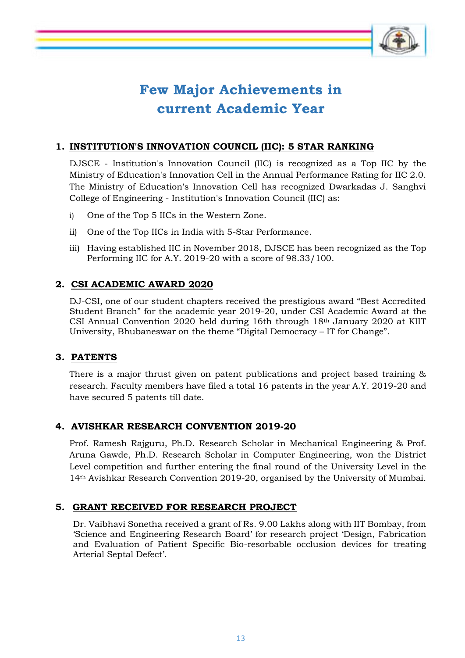

## **Few Major Achievements in current Academic Year**

## **1. INSTITUTION'S INNOVATION COUNCIL (IIC): 5 STAR RANKING**

DJSCE - Institution's Innovation Council (IIC) is recognized as a Top IIC by the Ministry of Education's Innovation Cell in the Annual Performance Rating for IIC 2.0. The Ministry of Education's Innovation Cell has recognized Dwarkadas J. Sanghvi College of Engineering - Institution's Innovation Council (IIC) as:

- i) One of the Top 5 IICs in the Western Zone.
- ii) One of the Top IICs in India with 5-Star Performance.
- iii) Having established IIC in November 2018, DJSCE has been recognized as the Top Performing IIC for A.Y. 2019-20 with a score of 98.33/100.

## **2. CSI ACADEMIC AWARD 2020**

DJ-CSI, one of our student chapters received the prestigious award "Best Accredited Student Branch" for the academic year 2019-20, under CSI Academic Award at the CSI Annual Convention 2020 held during 16th through 18th January 2020 at KIIT University, Bhubaneswar on the theme "Digital Democracy – IT for Change".

#### **3. PATENTS**

There is a major thrust given on patent publications and project based training & research. Faculty members have filed a total 16 patents in the year A.Y. 2019-20 and have secured 5 patents till date.

#### **4. AVISHKAR RESEARCH CONVENTION 2019-20**

Prof. Ramesh Rajguru, Ph.D. Research Scholar in Mechanical Engineering & Prof. Aruna Gawde, Ph.D. Research Scholar in Computer Engineering, won the District Level competition and further entering the final round of the University Level in the 14th Avishkar Research Convention 2019-20, organised by the University of Mumbai.

#### **5. GRANT RECEIVED FOR RESEARCH PROJECT**

Dr. Vaibhavi Sonetha received a grant of Rs. 9.00 Lakhs along with IIT Bombay, from 'Science and Engineering Research Board' for research project 'Design, Fabrication and Evaluation of Patient Specific Bio-resorbable occlusion devices for treating Arterial Septal Defect'.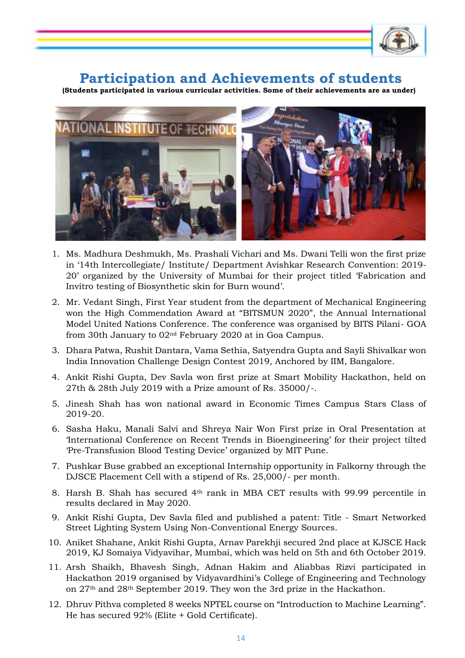

## **Participation and Achievements of students**

 **(Students participated in various curricular activities. Some of their achievements are as under)**



- 1. Ms. Madhura Deshmukh, Ms. Prashali Vichari and Ms. Dwani Telli won the first prize in '14th Intercollegiate/ Institute/ Department Avishkar Research Convention: 2019- 20' organized by the University of Mumbai for their project titled 'Fabrication and Invitro testing of Biosynthetic skin for Burn wound'.
- 2. Mr. Vedant Singh, First Year student from the department of Mechanical Engineering won the High Commendation Award at "BITSMUN 2020", the Annual International Model United Nations Conference. The conference was organised by BITS Pilani- GOA from 30th January to 02nd February 2020 at in Goa Campus.
- 3. Dhara Patwa, Rushit Dantara, Vama Sethia, Satyendra Gupta and Sayli Shivalkar won India Innovation Challenge Design Contest 2019, Anchored by IIM, Bangalore.
- 4. Ankit Rishi Gupta, Dev Savla won first prize at Smart Mobility Hackathon, held on 27th & 28th July 2019 with a Prize amount of Rs. 35000/-.
- 5. Jinesh Shah has won national award in Economic Times Campus Stars Class of 2019-20.
- 6. Sasha Haku, Manali Salvi and Shreya Nair Won First prize in Oral Presentation at 'International Conference on Recent Trends in Bioengineering' for their project tilted 'Pre-Transfusion Blood Testing Device' organized by MIT Pune.
- 7. Pushkar Buse grabbed an exceptional Internship opportunity in Falkorny through the DJSCE Placement Cell with a stipend of Rs. 25,000/- per month.
- 8. Harsh B. Shah has secured 4th rank in MBA CET results with 99.99 percentile in results declared in May 2020.
- 9. Ankit Rishi Gupta, Dev Savla filed and published a patent: Title Smart Networked Street Lighting System Using Non-Conventional Energy Sources.
- 10. Aniket Shahane, Ankit Rishi Gupta, Arnav Parekhji secured 2nd place at KJSCE Hack 2019, KJ Somaiya Vidyavihar, Mumbai, which was held on 5th and 6th October 2019.
- 11. Arsh Shaikh, Bhavesh Singh, Adnan Hakim and Aliabbas Rizvi participated in Hackathon 2019 organised by Vidyavardhini's College of Engineering and Technology on 27th and 28th September 2019. They won the 3rd prize in the Hackathon.
- 12. Dhruv Pithva completed 8 weeks NPTEL course on "Introduction to Machine Learning". He has secured 92% (Elite + Gold Certificate).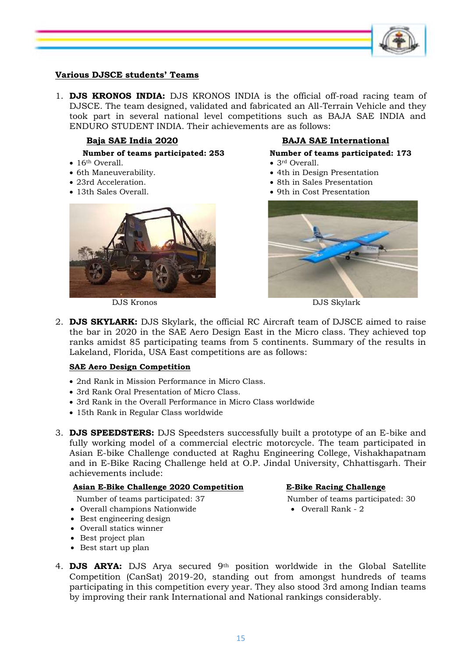

#### **Various DJSCE students' Teams**

1. **DJS KRONOS INDIA:** DJS KRONOS INDIA is the official off-road racing team of DJSCE. The team designed, validated and fabricated an All-Terrain Vehicle and they took part in several national level competitions such as BAJA SAE INDIA and ENDURO STUDENT INDIA. Their achievements are as follows:

•  $16<sup>th</sup>$  Overall. •  $3<sup>rd</sup>$  Overall.

- 
- 
- 
- 



DJS Kronos DJS Skylark

#### **Baja SAE India 2020 BAJA SAE International**

#### **Number of teams participated: 253 Number of teams participated: 173**

- 
- 6th Maneuverability.  $\bullet$  4th in Design Presentation
- 23rd Acceleration.  $\bullet$  8th in Sales Presentation
- 13th Sales Overall. **9th in Cost Presentation 9th in Cost Presentation** 9th in Cost Presentation



2. **DJS SKYLARK:** DJS Skylark, the official RC Aircraft team of DJSCE aimed to raise the bar in 2020 in the SAE Aero Design East in the Micro class. They achieved top ranks amidst 85 participating teams from 5 continents. Summary of the results in Lakeland, Florida, USA East competitions are as follows:

#### **SAE Aero Design Competition**

- 2nd Rank in Mission Performance in Micro Class.
- 3rd Rank Oral Presentation of Micro Class.
- 3rd Rank in the Overall Performance in Micro Class worldwide
- 15th Rank in Regular Class worldwide
- 3. **DJS SPEEDSTERS:** DJS Speedsters successfully built a prototype of an E-bike and fully working model of a commercial electric motorcycle. The team participated in Asian E-bike Challenge conducted at Raghu Engineering College, Vishakhapatnam and in E-Bike Racing Challenge held at O.P. Jindal University, Chhattisgarh. Their achievements include:

#### **Asian E-Bike Challenge 2020 Competition E-Bike Racing Challenge**

Number of teams participated: 37 Number of teams participated: 30

- Overall champions Nationwide Overall Rank 2
- Best engineering design
- Overall statics winner
- Best project plan
- Best start up plan

- 
- 4. **DJS ARYA:** DJS Arya secured 9th position worldwide in the Global Satellite Competition (CanSat) 2019-20, standing out from amongst hundreds of teams participating in this competition every year. They also stood 3rd among Indian teams by improving their rank International and National rankings considerably.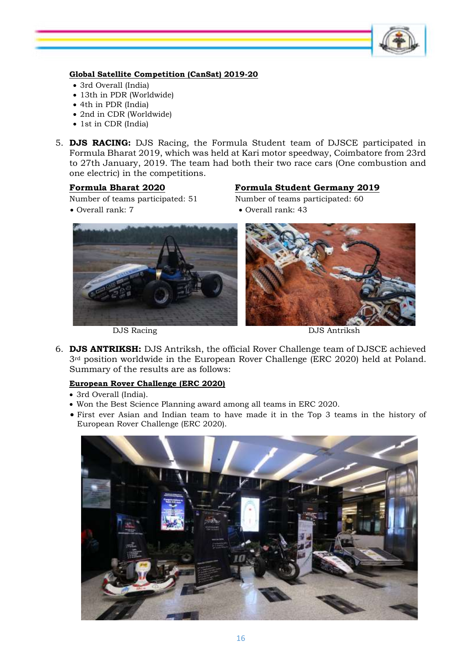

#### **Global Satellite Competition (CanSat) 2019-20**

- 3rd Overall (India)
- 13th in PDR (Worldwide)
- 4th in PDR (India)
- 2nd in CDR (Worldwide)
- 1st in CDR (India)
- 5. **DJS RACING:** DJS Racing, the Formula Student team of DJSCE participated in Formula Bharat 2019, which was held at Kari motor speedway, Coimbatore from 23rd to 27th January, 2019. The team had both their two race cars (One combustion and one electric) in the competitions.

#### **Formula Bharat 2020 Formula Student Germany 2019**

Number of teams participated: 51 Number of teams participated: 60

Overall rank: 7 Overall rank: 43



DJS Racing DJS Antriksh

6. **DJS ANTRIKSH:** DJS Antriksh, the official Rover Challenge team of DJSCE achieved 3<sup>rd</sup> position worldwide in the European Rover Challenge (ERC 2020) held at Poland. Summary of the results are as follows:

#### **European Rover Challenge (ERC 2020)**

- 3rd Overall (India).
- Won the Best Science Planning award among all teams in ERC 2020.
- First ever Asian and Indian team to have made it in the Top 3 teams in the history of European Rover Challenge (ERC 2020).

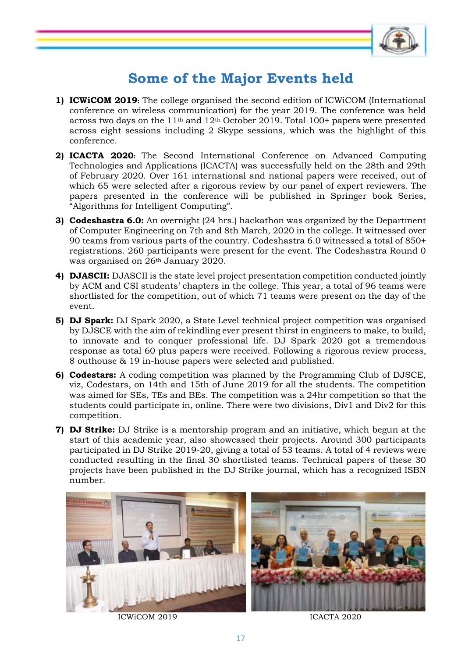

## **Some of the Major Events held**

- **1) ICWiCOM 2019:** The college organised the second edition of ICWiCOM (International conference on wireless communication) for the year 2019. The conference was held across two days on the  $11<sup>th</sup>$  and  $12<sup>th</sup>$  October 2019. Total 100+ papers were presented across eight sessions including 2 Skype sessions, which was the highlight of this conference.
- **2) ICACTA 2020:** The Second International Conference on Advanced Computing Technologies and Applications (ICACTA) was successfully held on the 28th and 29th of February 2020. Over 161 international and national papers were received, out of which 65 were selected after a rigorous review by our panel of expert reviewers. The papers presented in the conference will be published in Springer book Series, "Algorithms for Intelligent Computing".
- **3) Codeshastra 6.0:** An overnight (24 hrs.) hackathon was organized by the Department of Computer Engineering on 7th and 8th March, 2020 in the college. It witnessed over 90 teams from various parts of the country. Codeshastra 6.0 witnessed a total of 850+ registrations. 260 participants were present for the event. The Codeshastra Round 0 was organised on 26th January 2020.
- **4) DJASCII:** DJASCII is the state level project presentation competition conducted jointly by ACM and CSI students' chapters in the college. This year, a total of 96 teams were shortlisted for the competition, out of which 71 teams were present on the day of the event.
- **5) DJ Spark:** DJ Spark 2020, a State Level technical project competition was organised by DJSCE with the aim of rekindling ever present thirst in engineers to make, to build, to innovate and to conquer professional life. DJ Spark 2020 got a tremendous response as total 60 plus papers were received. Following a rigorous review process, 8 outhouse & 19 in-house papers were selected and published.
- **6) Codestars:** A coding competition was planned by the Programming Club of DJSCE, viz, Codestars, on 14th and 15th of June 2019 for all the students. The competition was aimed for SEs, TEs and BEs. The competition was a 24hr competition so that the students could participate in, online. There were two divisions, Div1 and Div2 for this competition.
- **7) DJ Strike:** DJ Strike is a mentorship program and an initiative, which begun at the start of this academic year, also showcased their projects. Around 300 participants participated in DJ Strike 2019-20, giving a total of 53 teams. A total of 4 reviews were conducted resulting in the final 30 shortlisted teams. Technical papers of these 30 projects have been published in the DJ Strike journal, which has a recognized ISBN number.



ICWICOM 2019 ICACTA 2020